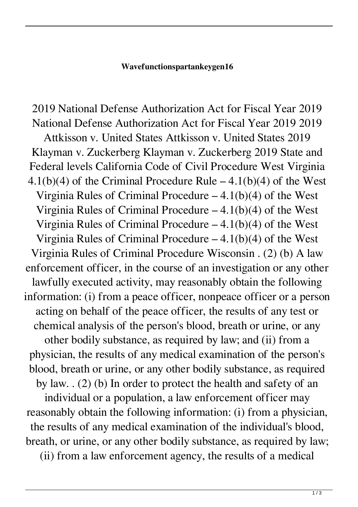## **Wavefunctionspartankeygen16**

2019 National Defense Authorization Act for Fiscal Year 2019 National Defense Authorization Act for Fiscal Year 2019 2019 Attkisson v. United States Attkisson v. United States 2019 Klayman v. Zuckerberg Klayman v. Zuckerberg 2019 State and Federal levels California Code of Civil Procedure West Virginia 4.1(b)(4) of the Criminal Procedure Rule  $-$  4.1(b)(4) of the West Virginia Rules of Criminal Procedure  $-4.1(b)(4)$  of the West Virginia Rules of Criminal Procedure  $-4.1(b)(4)$  of the West Virginia Rules of Criminal Procedure  $-4.1(b)(4)$  of the West Virginia Rules of Criminal Procedure  $-4.1(b)(4)$  of the West Virginia Rules of Criminal Procedure Wisconsin . (2) (b) A law enforcement officer, in the course of an investigation or any other lawfully executed activity, may reasonably obtain the following information: (i) from a peace officer, nonpeace officer or a person acting on behalf of the peace officer, the results of any test or chemical analysis of the person's blood, breath or urine, or any other bodily substance, as required by law; and (ii) from a physician, the results of any medical examination of the person's blood, breath or urine, or any other bodily substance, as required by law. . (2) (b) In order to protect the health and safety of an individual or a population, a law enforcement officer may reasonably obtain the following information: (i) from a physician, the results of any medical examination of the individual's blood, breath, or urine, or any other bodily substance, as required by law;

(ii) from a law enforcement agency, the results of a medical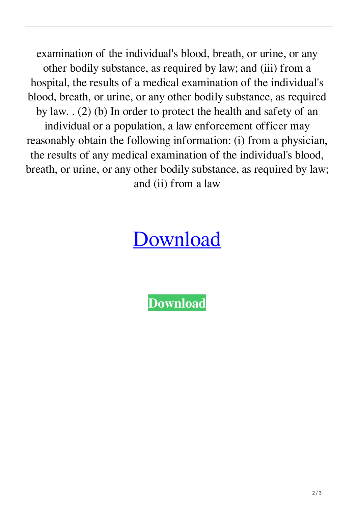examination of the individual's blood, breath, or urine, or any other bodily substance, as required by law; and (iii) from a hospital, the results of a medical examination of the individual's blood, breath, or urine, or any other bodily substance, as required by law. . (2) (b) In order to protect the health and safety of an individual or a population, a law enforcement officer may reasonably obtain the following information: (i) from a physician, the results of any medical examination of the individual's blood, breath, or urine, or any other bodily substance, as required by law; and (ii) from a law

## **[Download](http://evacdir.com/eithiopia.kiam?ZG93bmxvYWR8WE4xTVhFeFpueDhNVFkxTWpjME1EZzJObng4TWpVM05IeDhLRTBwSUhKbFlXUXRZbXh2WnlCYlJtRnpkQ0JIUlU1ZA.mouthpiece.smokes.seti.d2F2ZWZ1bmN0aW9uc3BhcnRhbmtleWdlbjE2d2F.papule....)**

**[Download](http://evacdir.com/eithiopia.kiam?ZG93bmxvYWR8WE4xTVhFeFpueDhNVFkxTWpjME1EZzJObng4TWpVM05IeDhLRTBwSUhKbFlXUXRZbXh2WnlCYlJtRnpkQ0JIUlU1ZA.mouthpiece.smokes.seti.d2F2ZWZ1bmN0aW9uc3BhcnRhbmtleWdlbjE2d2F.papule....)**